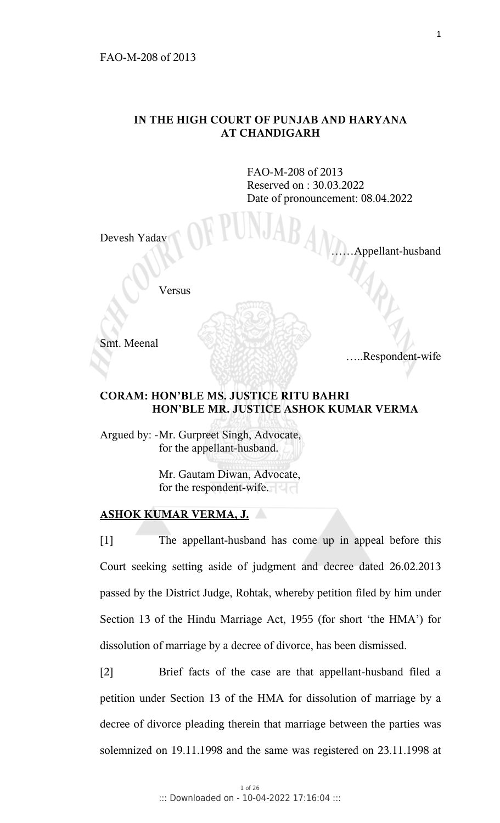## **IN THE HIGH COURT OF PUNJAB AND HARYANA AT CHANDIGARH**

 FAO-M-208 of 2013 Reserved on : 30.03.2022 Date of pronouncement: 08.04.2022

Devesh Yadav

Appellant-husband

Versus

Smt. Meenal

…..Respondent-wife

## **CORAM: HON'BLE MS. JUSTICE RITU BAHRI HON'BLE MR. JUSTICE ASHOK KUMAR VERMA**

Argued by: - Mr. Gurpreet Singh, Advocate, for the appellant-husband.

> Mr. Gautam Diwan, Advocate, for the respondent-wife.

## **ASHOK KUMAR VERMA, J.**

[1] The appellant-husband has come up in appeal before this Court seeking setting aside of judgment and decree dated 26.02.2013 passed by the District Judge, Rohtak, whereby petition filed by him under Section 13 of the Hindu Marriage Act, 1955 (for short 'the HMA') for dissolution of marriage by a decree of divorce, has been dismissed.

[2] Brief facts of the case are that appellant-husband filed a petition under Section 13 of the HMA for dissolution of marriage by a decree of divorce pleading therein that marriage between the parties was solemnized on 19.11.1998 and the same was registered on 23.11.1998 at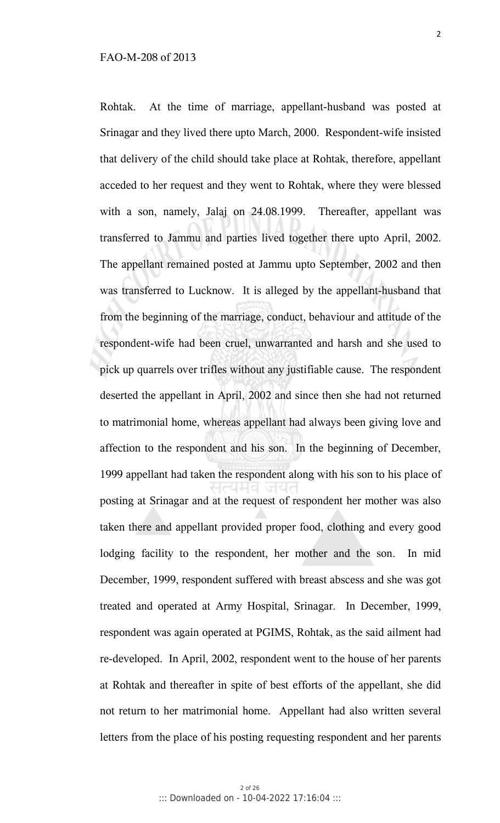Rohtak. At the time of marriage, appellant-husband was posted at Srinagar and they lived there upto March, 2000. Respondent-wife insisted that delivery of the child should take place at Rohtak, therefore, appellant acceded to her request and they went to Rohtak, where they were blessed with a son, namely, Jalaj on 24.08.1999. Thereafter, appellant was transferred to Jammu and parties lived together there upto April, 2002. The appellant remained posted at Jammu upto September, 2002 and then was transferred to Lucknow. It is alleged by the appellant-husband that from the beginning of the marriage, conduct, behaviour and attitude of the respondent-wife had been cruel, unwarranted and harsh and she used to pick up quarrels over trifles without any justifiable cause. The respondent deserted the appellant in April, 2002 and since then she had not returned to matrimonial home, whereas appellant had always been giving love and affection to the respondent and his son. In the beginning of December, 1999 appellant had taken the respondent along with his son to his place of posting at Srinagar and at the request of respondent her mother was also taken there and appellant provided proper food, clothing and every good lodging facility to the respondent, her mother and the son. In mid December, 1999, respondent suffered with breast abscess and she was got treated and operated at Army Hospital, Srinagar. In December, 1999, respondent was again operated at PGIMS, Rohtak, as the said ailment had re-developed. In April, 2002, respondent went to the house of her parents at Rohtak and thereafter in spite of best efforts of the appellant, she did not return to her matrimonial home. Appellant had also written several letters from the place of his posting requesting respondent and her parents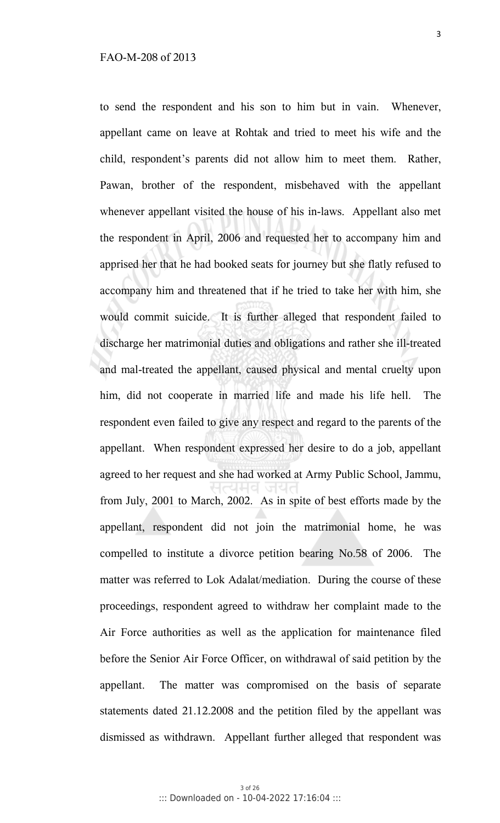to send the respondent and his son to him but in vain. Whenever, appellant came on leave at Rohtak and tried to meet his wife and the child, respondent's parents did not allow him to meet them. Rather, Pawan, brother of the respondent, misbehaved with the appellant whenever appellant visited the house of his in-laws. Appellant also met the respondent in April, 2006 and requested her to accompany him and apprised her that he had booked seats for journey but she flatly refused to accompany him and threatened that if he tried to take her with him, she would commit suicide. It is further alleged that respondent failed to discharge her matrimonial duties and obligations and rather she ill-treated and mal-treated the appellant, caused physical and mental cruelty upon him, did not cooperate in married life and made his life hell. The respondent even failed to give any respect and regard to the parents of the appellant. When respondent expressed her desire to do a job, appellant agreed to her request and she had worked at Army Public School, Jammu, from July, 2001 to March, 2002. As in spite of best efforts made by the appellant, respondent did not join the matrimonial home, he was compelled to institute a divorce petition bearing No.58 of 2006. The matter was referred to Lok Adalat/mediation. During the course of these proceedings, respondent agreed to withdraw her complaint made to the Air Force authorities as well as the application for maintenance filed before the Senior Air Force Officer, on withdrawal of said petition by the appellant. The matter was compromised on the basis of separate statements dated 21.12.2008 and the petition filed by the appellant was dismissed as withdrawn. Appellant further alleged that respondent was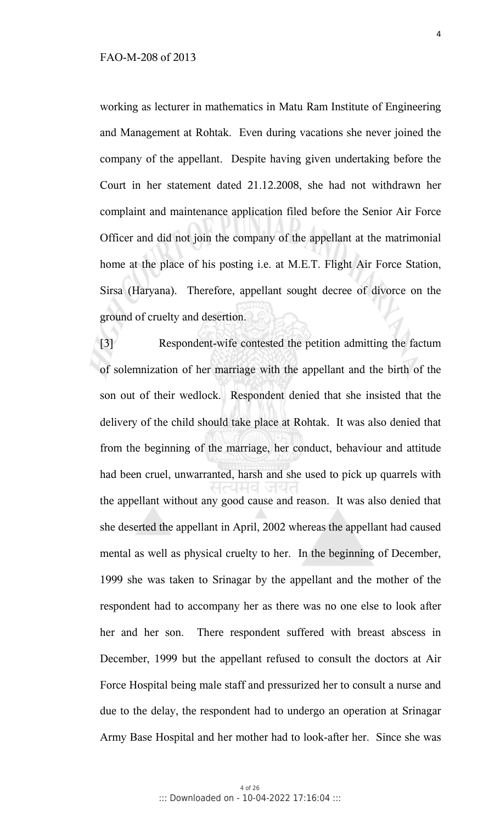working as lecturer in mathematics in Matu Ram Institute of Engineering and Management at Rohtak. Even during vacations she never joined the company of the appellant. Despite having given undertaking before the Court in her statement dated 21.12.2008, she had not withdrawn her complaint and maintenance application filed before the Senior Air Force Officer and did not join the company of the appellant at the matrimonial home at the place of his posting i.e. at M.E.T. Flight Air Force Station, Sirsa (Haryana). Therefore, appellant sought decree of divorce on the ground of cruelty and desertion.

[3] Respondent-wife contested the petition admitting the factum of solemnization of her marriage with the appellant and the birth of the son out of their wedlock. Respondent denied that she insisted that the delivery of the child should take place at Rohtak. It was also denied that from the beginning of the marriage, her conduct, behaviour and attitude had been cruel, unwarranted, harsh and she used to pick up quarrels with the appellant without any good cause and reason. It was also denied that she deserted the appellant in April, 2002 whereas the appellant had caused mental as well as physical cruelty to her. In the beginning of December, 1999 she was taken to Srinagar by the appellant and the mother of the respondent had to accompany her as there was no one else to look after her and her son. There respondent suffered with breast abscess in December, 1999 but the appellant refused to consult the doctors at Air Force Hospital being male staff and pressurized her to consult a nurse and due to the delay, the respondent had to undergo an operation at Srinagar Army Base Hospital and her mother had to look-after her. Since she was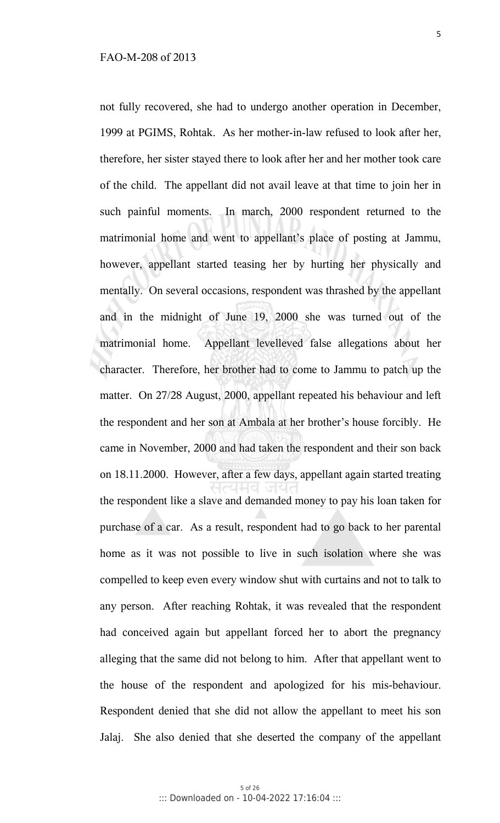not fully recovered, she had to undergo another operation in December, 1999 at PGIMS, Rohtak. As her mother-in-law refused to look after her, therefore, her sister stayed there to look after her and her mother took care of the child. The appellant did not avail leave at that time to join her in such painful moments. In march, 2000 respondent returned to the matrimonial home and went to appellant's place of posting at Jammu, however, appellant started teasing her by hurting her physically and mentally. On several occasions, respondent was thrashed by the appellant and in the midnight of June 19, 2000 she was turned out of the matrimonial home. Appellant levelleved false allegations about her character. Therefore, her brother had to come to Jammu to patch up the matter. On 27/28 August, 2000, appellant repeated his behaviour and left the respondent and her son at Ambala at her brother's house forcibly. He came in November, 2000 and had taken the respondent and their son back on 18.11.2000. However, after a few days, appellant again started treating the respondent like a slave and demanded money to pay his loan taken for purchase of a car. As a result, respondent had to go back to her parental home as it was not possible to live in such isolation where she was compelled to keep even every window shut with curtains and not to talk to any person. After reaching Rohtak, it was revealed that the respondent had conceived again but appellant forced her to abort the pregnancy alleging that the same did not belong to him. After that appellant went to the house of the respondent and apologized for his mis-behaviour. Respondent denied that she did not allow the appellant to meet his son Jalaj. She also denied that she deserted the company of the appellant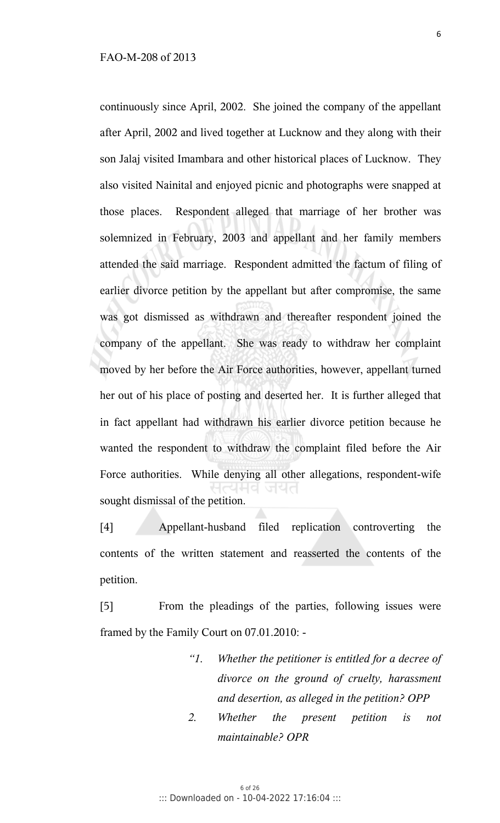continuously since April, 2002. She joined the company of the appellant after April, 2002 and lived together at Lucknow and they along with their son Jalaj visited Imambara and other historical places of Lucknow. They also visited Nainital and enjoyed picnic and photographs were snapped at those places. Respondent alleged that marriage of her brother was solemnized in February, 2003 and appellant and her family members attended the said marriage. Respondent admitted the factum of filing of earlier divorce petition by the appellant but after compromise, the same was got dismissed as withdrawn and thereafter respondent joined the company of the appellant. She was ready to withdraw her complaint moved by her before the Air Force authorities, however, appellant turned her out of his place of posting and deserted her. It is further alleged that in fact appellant had withdrawn his earlier divorce petition because he wanted the respondent to withdraw the complaint filed before the Air Force authorities. While denying all other allegations, respondent-wife sought dismissal of the petition.

[4] Appellant-husband filed replication controverting the contents of the written statement and reasserted the contents of the petition.

[5] From the pleadings of the parties, following issues were framed by the Family Court on 07.01.2010: -

- *"1. Whether the petitioner is entitled for a decree of divorce on the ground of cruelty, harassment and desertion, as alleged in the petition? OPP*
- *2. Whether the present petition is not maintainable? OPR*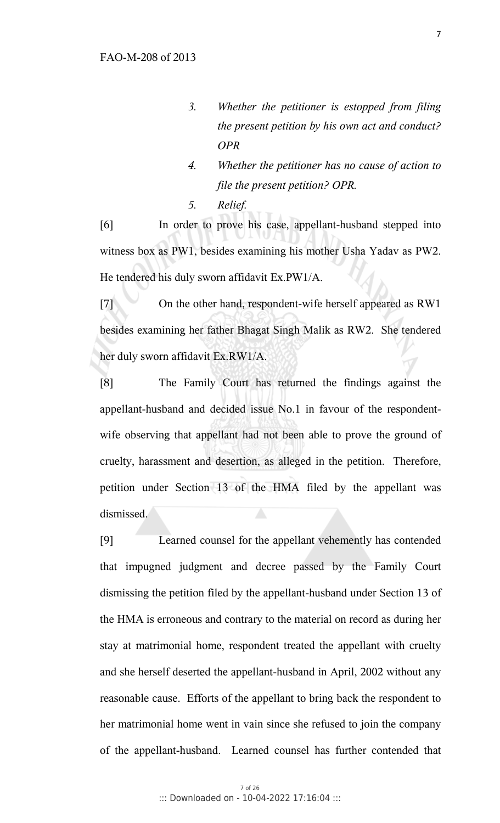- *3. Whether the petitioner is estopped from filing the present petition by his own act and conduct? OPR*
- *4. Whether the petitioner has no cause of action to file the present petition? OPR.*
- *5. Relief.*

[6] In order to prove his case, appellant-husband stepped into witness box as PW1, besides examining his mother Usha Yadav as PW2. He tendered his duly sworn affidavit Ex.PW1/A.

[7] On the other hand, respondent-wife herself appeared as RW1 besides examining her father Bhagat Singh Malik as RW2. She tendered her duly sworn affidavit Ex.RW1/A.

[8] The Family Court has returned the findings against the appellant-husband and decided issue No.1 in favour of the respondentwife observing that appellant had not been able to prove the ground of cruelty, harassment and desertion, as alleged in the petition. Therefore, petition under Section 13 of the HMA filed by the appellant was dismissed.

[9] Learned counsel for the appellant vehemently has contended that impugned judgment and decree passed by the Family Court dismissing the petition filed by the appellant-husband under Section 13 of the HMA is erroneous and contrary to the material on record as during her stay at matrimonial home, respondent treated the appellant with cruelty and she herself deserted the appellant-husband in April, 2002 without any reasonable cause. Efforts of the appellant to bring back the respondent to her matrimonial home went in vain since she refused to join the company of the appellant-husband. Learned counsel has further contended that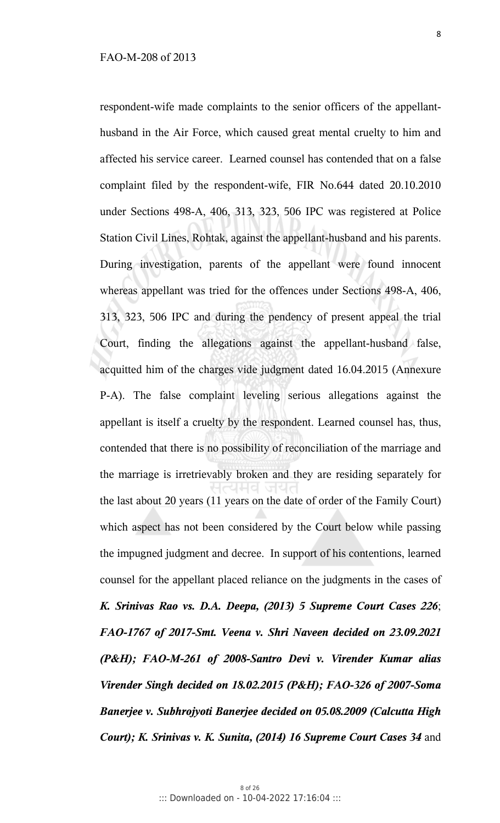respondent-wife made complaints to the senior officers of the appellanthusband in the Air Force, which caused great mental cruelty to him and affected his service career. Learned counsel has contended that on a false complaint filed by the respondent-wife, FIR No.644 dated 20.10.2010 under Sections 498-A, 406, 313, 323, 506 IPC was registered at Police Station Civil Lines, Rohtak, against the appellant-husband and his parents. During investigation, parents of the appellant were found innocent whereas appellant was tried for the offences under Sections 498-A, 406, 313, 323, 506 IPC and during the pendency of present appeal the trial Court, finding the allegations against the appellant-husband false, acquitted him of the charges vide judgment dated 16.04.2015 (Annexure P-A). The false complaint leveling serious allegations against the appellant is itself a cruelty by the respondent. Learned counsel has, thus, contended that there is no possibility of reconciliation of the marriage and the marriage is irretrievably broken and they are residing separately for the last about 20 years (11 years on the date of order of the Family Court) which aspect has not been considered by the Court below while passing the impugned judgment and decree. In support of his contentions, learned counsel for the appellant placed reliance on the judgments in the cases of *K. Srinivas Rao vs. D.A. Deepa, (2013) 5 Supreme Court Cases 226*; *FAO-1767 of 2017-Smt. Veena v. Shri Naveen decided on 23.09.2021 (P&H); FAO-M-261 of 2008-Santro Devi v. Virender Kumar alias Virender Singh decided on 18.02.2015 (P&H); FAO-326 of 2007-Soma Banerjee v. Subhrojyoti Banerjee decided on 05.08.2009 (Calcutta High Court); K. Srinivas v. K. Sunita, (2014) 16 Supreme Court Cases 34* and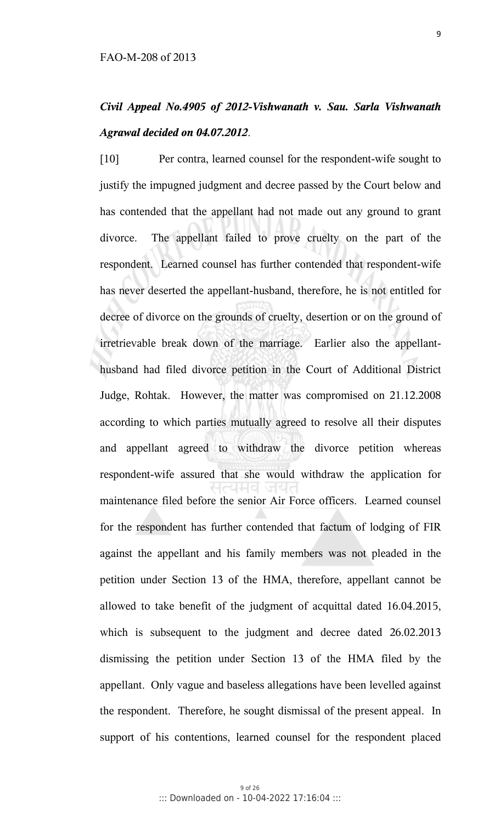## *Civil Appeal No.4905 of 2012-Vishwanath v. Sau. Sarla Vishwanath Agrawal decided on 04.07.2012*.

[10] Per contra, learned counsel for the respondent-wife sought to justify the impugned judgment and decree passed by the Court below and has contended that the appellant had not made out any ground to grant divorce. The appellant failed to prove cruelty on the part of the respondent. Learned counsel has further contended that respondent-wife has never deserted the appellant-husband, therefore, he is not entitled for decree of divorce on the grounds of cruelty, desertion or on the ground of irretrievable break down of the marriage. Earlier also the appellanthusband had filed divorce petition in the Court of Additional District Judge, Rohtak. However, the matter was compromised on 21.12.2008 according to which parties mutually agreed to resolve all their disputes and appellant agreed to withdraw the divorce petition whereas respondent-wife assured that she would withdraw the application for maintenance filed before the senior Air Force officers. Learned counsel for the respondent has further contended that factum of lodging of FIR against the appellant and his family members was not pleaded in the petition under Section 13 of the HMA, therefore, appellant cannot be allowed to take benefit of the judgment of acquittal dated 16.04.2015, which is subsequent to the judgment and decree dated 26.02.2013 dismissing the petition under Section 13 of the HMA filed by the appellant. Only vague and baseless allegations have been levelled against the respondent. Therefore, he sought dismissal of the present appeal. In support of his contentions, learned counsel for the respondent placed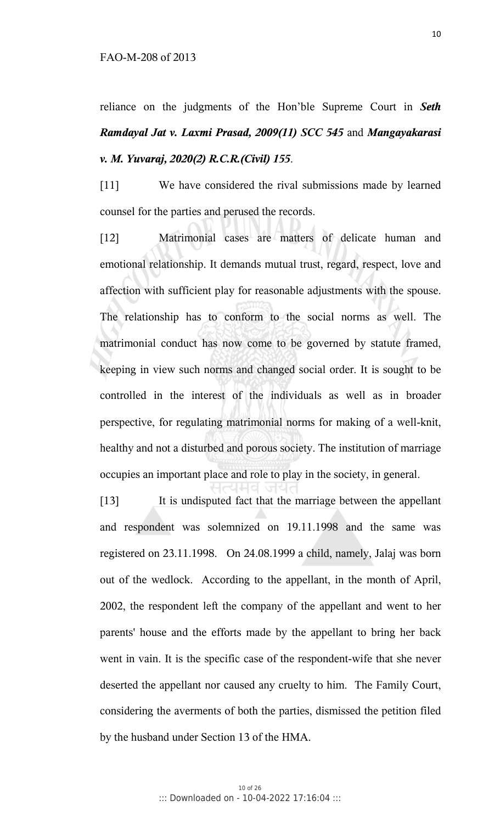reliance on the judgments of the Hon'ble Supreme Court in *Seth Ramdayal Jat v. Laxmi Prasad, 2009(11) SCC 545* and *Mangayakarasi v. M. Yuvaraj, 2020(2) R.C.R.(Civil) 155*.

[11] We have considered the rival submissions made by learned counsel for the parties and perused the records.

[12] Matrimonial cases are matters of delicate human and emotional relationship. It demands mutual trust, regard, respect, love and affection with sufficient play for reasonable adjustments with the spouse. The relationship has to conform to the social norms as well. The matrimonial conduct has now come to be governed by statute framed, keeping in view such norms and changed social order. It is sought to be controlled in the interest of the individuals as well as in broader perspective, for regulating matrimonial norms for making of a well-knit, healthy and not a disturbed and porous society. The institution of marriage occupies an important place and role to play in the society, in general.

[13] It is undisputed fact that the marriage between the appellant and respondent was solemnized on 19.11.1998 and the same was registered on 23.11.1998. On 24.08.1999 a child, namely, Jalaj was born out of the wedlock. According to the appellant, in the month of April, 2002, the respondent left the company of the appellant and went to her parents' house and the efforts made by the appellant to bring her back went in vain. It is the specific case of the respondent-wife that she never deserted the appellant nor caused any cruelty to him. The Family Court, considering the averments of both the parties, dismissed the petition filed by the husband under Section 13 of the HMA.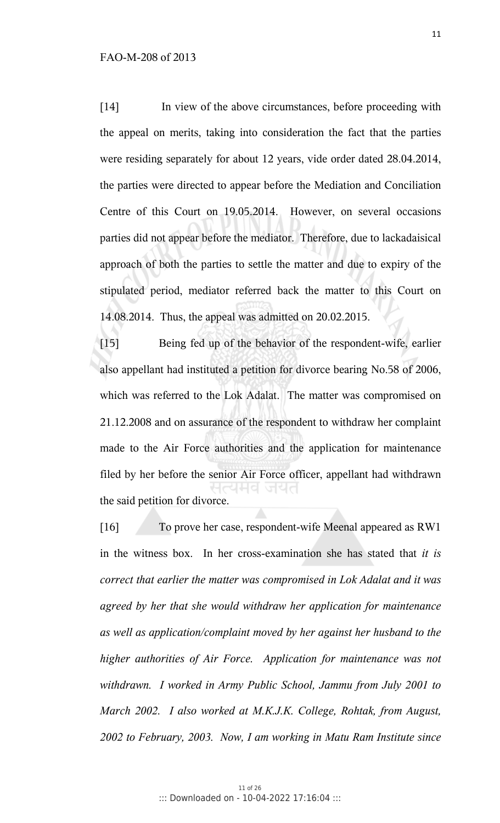[14] In view of the above circumstances, before proceeding with the appeal on merits, taking into consideration the fact that the parties were residing separately for about 12 years, vide order dated 28.04.2014, the parties were directed to appear before the Mediation and Conciliation Centre of this Court on 19.05.2014. However, on several occasions parties did not appear before the mediator. Therefore, due to lackadaisical approach of both the parties to settle the matter and due to expiry of the stipulated period, mediator referred back the matter to this Court on 14.08.2014. Thus, the appeal was admitted on 20.02.2015.

[15] Being fed up of the behavior of the respondent-wife, earlier also appellant had instituted a petition for divorce bearing No.58 of 2006, which was referred to the Lok Adalat. The matter was compromised on 21.12.2008 and on assurance of the respondent to withdraw her complaint made to the Air Force authorities and the application for maintenance filed by her before the senior Air Force officer, appellant had withdrawn the said petition for divorce.

[16] To prove her case, respondent-wife Meenal appeared as RW1 in the witness box. In her cross-examination she has stated that *it is correct that earlier the matter was compromised in Lok Adalat and it was agreed by her that she would withdraw her application for maintenance as well as application/complaint moved by her against her husband to the higher authorities of Air Force. Application for maintenance was not withdrawn. I worked in Army Public School, Jammu from July 2001 to March 2002. I also worked at M.K.J.K. College, Rohtak, from August, 2002 to February, 2003. Now, I am working in Matu Ram Institute since*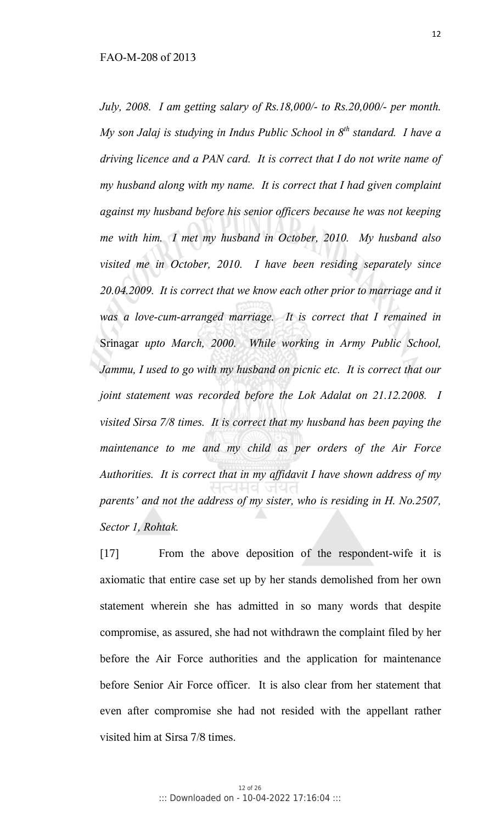*July, 2008. I am getting salary of Rs.18,000/- to Rs.20,000/- per month. My son Jalaj is studying in Indus Public School in 8 th standard. I have a driving licence and a PAN card. It is correct that I do not write name of my husband along with my name. It is correct that I had given complaint against my husband before his senior officers because he was not keeping me with him. I met my husband in October, 2010. My husband also visited me in October, 2010. I have been residing separately since 20.04.2009. It is correct that we know each other prior to marriage and it was a love-cum-arranged marriage. It is correct that I remained in*  Srinagar *upto March, 2000. While working in Army Public School, Jammu, I used to go with my husband on picnic etc. It is correct that our joint statement was recorded before the Lok Adalat on 21.12.2008. I visited Sirsa 7/8 times. It is correct that my husband has been paying the maintenance to me and my child as per orders of the Air Force Authorities. It is correct that in my affidavit I have shown address of my parents' and not the address of my sister, who is residing in H. No.2507, Sector 1, Rohtak.* 

[17] From the above deposition of the respondent-wife it is axiomatic that entire case set up by her stands demolished from her own statement wherein she has admitted in so many words that despite compromise, as assured, she had not withdrawn the complaint filed by her before the Air Force authorities and the application for maintenance before Senior Air Force officer. It is also clear from her statement that even after compromise she had not resided with the appellant rather visited him at Sirsa 7/8 times.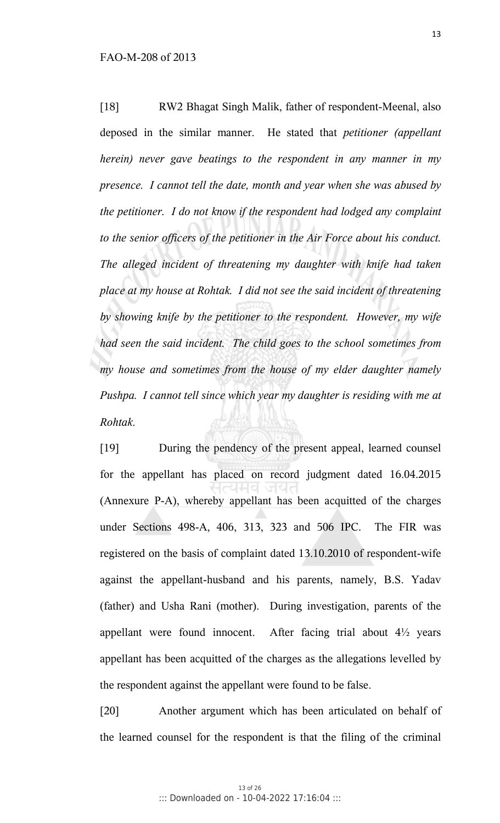[18] RW2 Bhagat Singh Malik, father of respondent-Meenal, also deposed in the similar manner. He stated that *petitioner (appellant herein) never gave beatings to the respondent in any manner in my presence. I cannot tell the date, month and year when she was abused by the petitioner. I do not know if the respondent had lodged any complaint to the senior officers of the petitioner in the Air Force about his conduct. The alleged incident of threatening my daughter with knife had taken place at my house at Rohtak. I did not see the said incident of threatening by showing knife by the petitioner to the respondent. However, my wife had seen the said incident. The child goes to the school sometimes from my house and sometimes from the house of my elder daughter namely Pushpa. I cannot tell since which year my daughter is residing with me at Rohtak*.

[19] During the pendency of the present appeal, learned counsel for the appellant has placed on record judgment dated 16.04.2015 (Annexure P-A), whereby appellant has been acquitted of the charges under Sections 498-A, 406, 313, 323 and 506 IPC. The FIR was registered on the basis of complaint dated 13.10.2010 of respondent-wife against the appellant-husband and his parents, namely, B.S. Yadav (father) and Usha Rani (mother). During investigation, parents of the appellant were found innocent. After facing trial about 4½ years appellant has been acquitted of the charges as the allegations levelled by the respondent against the appellant were found to be false.

[20] Another argument which has been articulated on behalf of the learned counsel for the respondent is that the filing of the criminal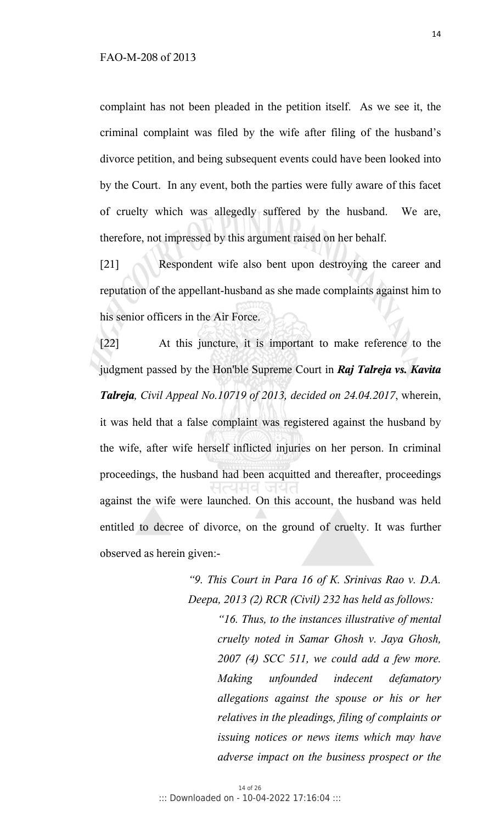complaint has not been pleaded in the petition itself. As we see it, the criminal complaint was filed by the wife after filing of the husband's divorce petition, and being subsequent events could have been looked into by the Court. In any event, both the parties were fully aware of this facet of cruelty which was allegedly suffered by the husband. We are, therefore, not impressed by this argument raised on her behalf.

[21] Respondent wife also bent upon destroying the career and reputation of the appellant-husband as she made complaints against him to his senior officers in the Air Force.

[22] At this juncture, it is important to make reference to the judgment passed by the Hon'ble Supreme Court in *Raj Talreja vs. Kavita Talreja, Civil Appeal No.10719 of 2013, decided on 24.04.2017*, wherein, it was held that a false complaint was registered against the husband by the wife, after wife herself inflicted injuries on her person. In criminal proceedings, the husband had been acquitted and thereafter, proceedings against the wife were launched. On this account, the husband was held entitled to decree of divorce, on the ground of cruelty. It was further observed as herein given:-

> *"9. This Court in Para 16 of K. Srinivas Rao v. D.A. Deepa, 2013 (2) RCR (Civil) 232 has held as follows:*

*"16. Thus, to the instances illustrative of mental cruelty noted in Samar Ghosh v. Jaya Ghosh, 2007 (4) SCC 511, we could add a few more. Making unfounded indecent defamatory allegations against the spouse or his or her relatives in the pleadings, filing of complaints or issuing notices or news items which may have adverse impact on the business prospect or the*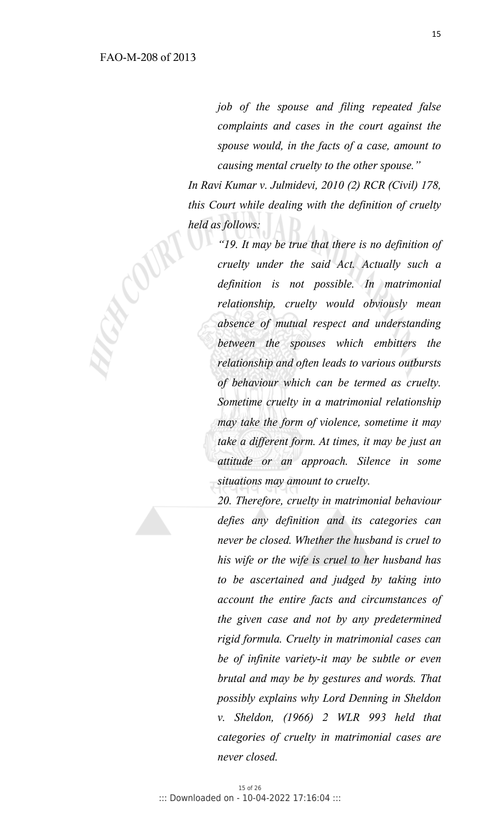*job of the spouse and filing repeated false complaints and cases in the court against the spouse would, in the facts of a case, amount to causing mental cruelty to the other spouse."* 

*In Ravi Kumar v. Julmidevi, 2010 (2) RCR (Civil) 178, this Court while dealing with the definition of cruelty held as follows:* 

> *"19. It may be true that there is no definition of cruelty under the said Act. Actually such a definition is not possible. In matrimonial relationship, cruelty would obviously mean absence of mutual respect and understanding between the spouses which embitters the relationship and often leads to various outbursts of behaviour which can be termed as cruelty. Sometime cruelty in a matrimonial relationship may take the form of violence, sometime it may take a different form. At times, it may be just an attitude or an approach. Silence in some situations may amount to cruelty.*

> *20. Therefore, cruelty in matrimonial behaviour defies any definition and its categories can never be closed. Whether the husband is cruel to his wife or the wife is cruel to her husband has to be ascertained and judged by taking into account the entire facts and circumstances of the given case and not by any predetermined rigid formula. Cruelty in matrimonial cases can be of infinite variety-it may be subtle or even brutal and may be by gestures and words. That possibly explains why Lord Denning in Sheldon v. Sheldon, (1966) 2 WLR 993 held that categories of cruelty in matrimonial cases are never closed.*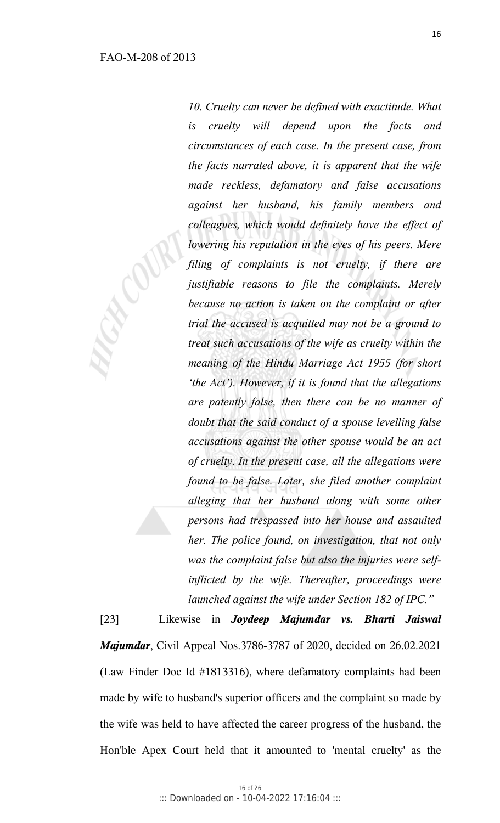*10. Cruelty can never be defined with exactitude. What is cruelty will depend upon the facts and circumstances of each case. In the present case, from the facts narrated above, it is apparent that the wife made reckless, defamatory and false accusations against her husband, his family members and colleagues, which would definitely have the effect of lowering his reputation in the eyes of his peers. Mere filing of complaints is not cruelty, if there are justifiable reasons to file the complaints. Merely because no action is taken on the complaint or after trial the accused is acquitted may not be a ground to treat such accusations of the wife as cruelty within the meaning of the Hindu Marriage Act 1955 (for short 'the Act'). However, if it is found that the allegations are patently false, then there can be no manner of doubt that the said conduct of a spouse levelling false accusations against the other spouse would be an act of cruelty. In the present case, all the allegations were found to be false. Later, she filed another complaint alleging that her husband along with some other persons had trespassed into her house and assaulted her. The police found, on investigation, that not only was the complaint false but also the injuries were selfinflicted by the wife. Thereafter, proceedings were launched against the wife under Section 182 of IPC."*

[23] Likewise in *Joydeep Majumdar vs. Bharti Jaiswal Majumdar*, Civil Appeal Nos.3786-3787 of 2020, decided on 26.02.2021 (Law Finder Doc Id #1813316), where defamatory complaints had been made by wife to husband's superior officers and the complaint so made by the wife was held to have affected the career progress of the husband, the Hon'ble Apex Court held that it amounted to 'mental cruelty' as the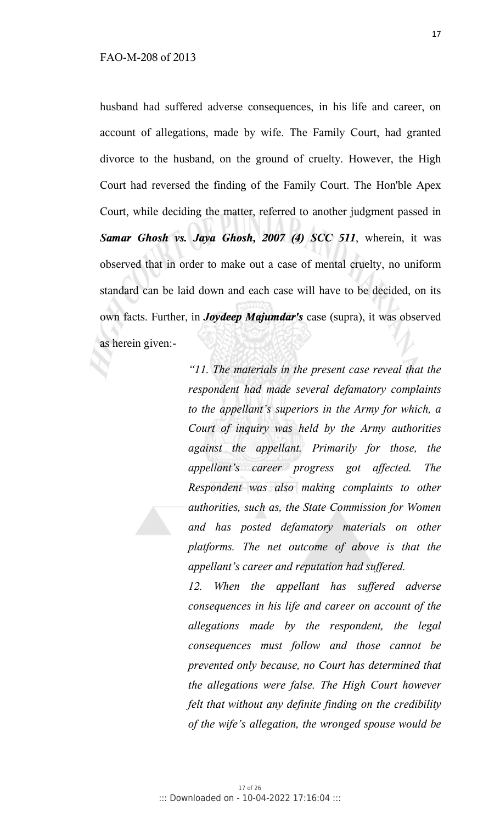husband had suffered adverse consequences, in his life and career, on account of allegations, made by wife. The Family Court, had granted divorce to the husband, on the ground of cruelty. However, the High Court had reversed the finding of the Family Court. The Hon'ble Apex Court, while deciding the matter, referred to another judgment passed in *Samar Ghosh vs. Jaya Ghosh, 2007 (4) SCC 511*, wherein, it was observed that in order to make out a case of mental cruelty, no uniform standard can be laid down and each case will have to be decided, on its own facts. Further, in *Joydeep Majumdar's* case (supra), it was observed as herein given:-

> *"11. The materials in the present case reveal that the respondent had made several defamatory complaints to the appellant's superiors in the Army for which, a Court of inquiry was held by the Army authorities against the appellant. Primarily for those, the appellant's career progress got affected. The Respondent was also making complaints to other authorities, such as, the State Commission for Women and has posted defamatory materials on other platforms. The net outcome of above is that the appellant's career and reputation had suffered.*

> *12. When the appellant has suffered adverse consequences in his life and career on account of the allegations made by the respondent, the legal consequences must follow and those cannot be prevented only because, no Court has determined that the allegations were false. The High Court however felt that without any definite finding on the credibility of the wife's allegation, the wronged spouse would be*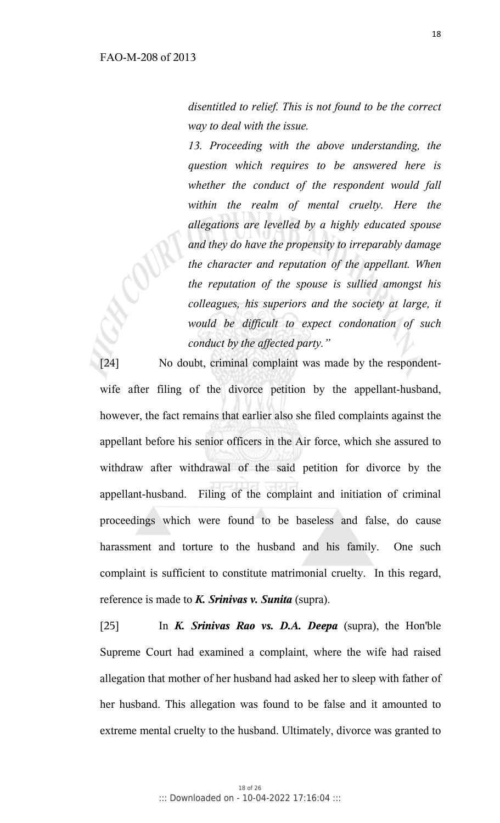*disentitled to relief. This is not found to be the correct way to deal with the issue.* 

*13. Proceeding with the above understanding, the question which requires to be answered here is whether the conduct of the respondent would fall within the realm of mental cruelty. Here the allegations are levelled by a highly educated spouse and they do have the propensity to irreparably damage the character and reputation of the appellant. When the reputation of the spouse is sullied amongst his colleagues, his superiors and the society at large, it would be difficult to expect condonation of such conduct by the affected party."* 

[24] No doubt, criminal complaint was made by the respondentwife after filing of the divorce petition by the appellant-husband, however, the fact remains that earlier also she filed complaints against the appellant before his senior officers in the Air force, which she assured to withdraw after withdrawal of the said petition for divorce by the appellant-husband. Filing of the complaint and initiation of criminal proceedings which were found to be baseless and false, do cause harassment and torture to the husband and his family. One such complaint is sufficient to constitute matrimonial cruelty. In this regard, reference is made to *K. Srinivas v. Sunita* (supra).

[25] In *K. Srinivas Rao vs. D.A. Deepa* (supra), the Hon'ble Supreme Court had examined a complaint, where the wife had raised allegation that mother of her husband had asked her to sleep with father of her husband. This allegation was found to be false and it amounted to extreme mental cruelty to the husband. Ultimately, divorce was granted to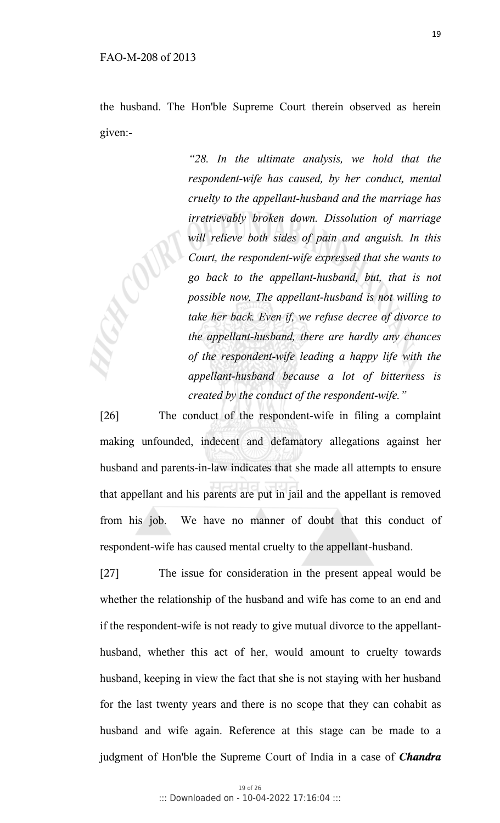the husband. The Hon'ble Supreme Court therein observed as herein given:-

> *"28. In the ultimate analysis, we hold that the respondent-wife has caused, by her conduct, mental cruelty to the appellant-husband and the marriage has irretrievably broken down. Dissolution of marriage will relieve both sides of pain and anguish. In this Court, the respondent-wife expressed that she wants to go back to the appellant-husband, but, that is not possible now. The appellant-husband is not willing to take her back. Even if, we refuse decree of divorce to the appellant-husband, there are hardly any chances of the respondent-wife leading a happy life with the appellant-husband because a lot of bitterness is created by the conduct of the respondent-wife."*

[26] The conduct of the respondent-wife in filing a complaint making unfounded, indecent and defamatory allegations against her husband and parents-in-law indicates that she made all attempts to ensure that appellant and his parents are put in jail and the appellant is removed from his job. We have no manner of doubt that this conduct of respondent-wife has caused mental cruelty to the appellant-husband.

[27] The issue for consideration in the present appeal would be whether the relationship of the husband and wife has come to an end and if the respondent-wife is not ready to give mutual divorce to the appellanthusband, whether this act of her, would amount to cruelty towards husband, keeping in view the fact that she is not staying with her husband for the last twenty years and there is no scope that they can cohabit as husband and wife again. Reference at this stage can be made to a judgment of Hon'ble the Supreme Court of India in a case of *Chandra*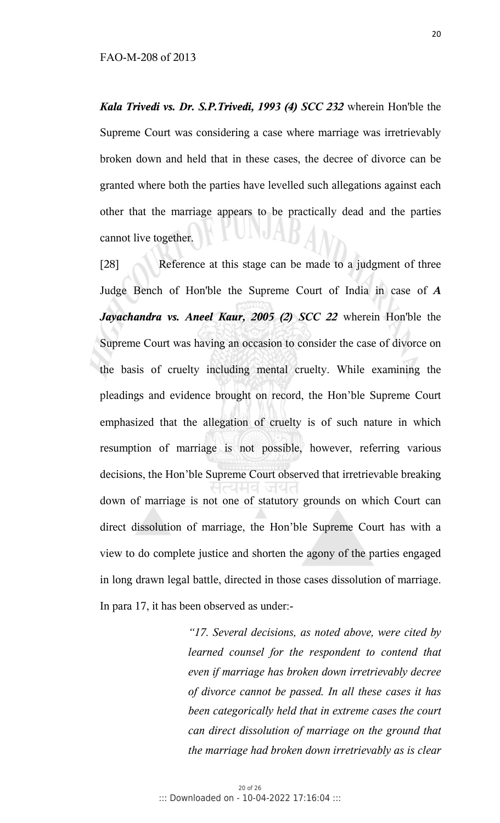*Kala Trivedi vs. Dr. S.P.Trivedi, 1993 (4) SCC 232* wherein Hon'ble the Supreme Court was considering a case where marriage was irretrievably broken down and held that in these cases, the decree of divorce can be granted where both the parties have levelled such allegations against each other that the marriage appears to be practically dead and the parties cannot live together.

[28] Reference at this stage can be made to a judgment of three Judge Bench of Hon'ble the Supreme Court of India in case of *A Jayachandra vs. Aneel Kaur, 2005 (2) SCC 22* wherein Hon'ble the Supreme Court was having an occasion to consider the case of divorce on the basis of cruelty including mental cruelty. While examining the pleadings and evidence brought on record, the Hon'ble Supreme Court emphasized that the allegation of cruelty is of such nature in which resumption of marriage is not possible, however, referring various decisions, the Hon'ble Supreme Court observed that irretrievable breaking down of marriage is not one of statutory grounds on which Court can direct dissolution of marriage, the Hon'ble Supreme Court has with a view to do complete justice and shorten the agony of the parties engaged in long drawn legal battle, directed in those cases dissolution of marriage. In para 17, it has been observed as under:-

> *"17. Several decisions, as noted above, were cited by learned counsel for the respondent to contend that even if marriage has broken down irretrievably decree of divorce cannot be passed. In all these cases it has been categorically held that in extreme cases the court can direct dissolution of marriage on the ground that the marriage had broken down irretrievably as is clear*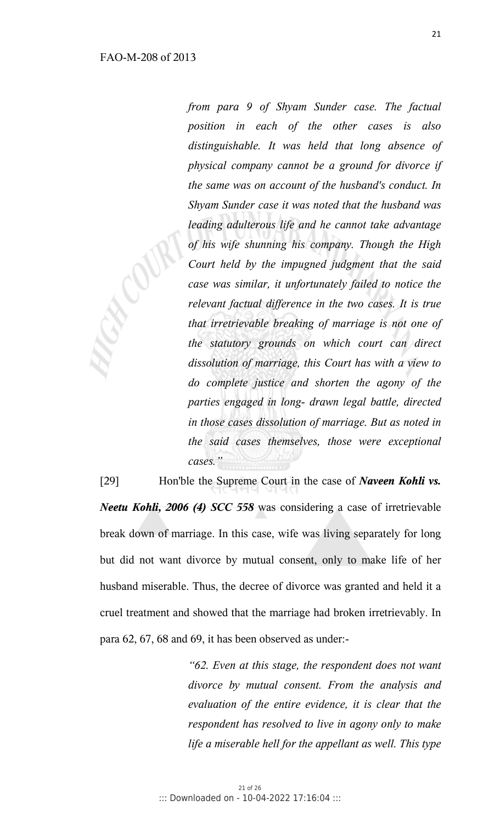*from para 9 of Shyam Sunder case. The factual position in each of the other cases is also distinguishable. It was held that long absence of physical company cannot be a ground for divorce if the same was on account of the husband's conduct. In Shyam Sunder case it was noted that the husband was leading adulterous life and he cannot take advantage of his wife shunning his company. Though the High Court held by the impugned judgment that the said case was similar, it unfortunately failed to notice the relevant factual difference in the two cases. It is true that irretrievable breaking of marriage is not one of the statutory grounds on which court can direct dissolution of marriage, this Court has with a view to do complete justice and shorten the agony of the parties engaged in long- drawn legal battle, directed in those cases dissolution of marriage. But as noted in the said cases themselves, those were exceptional cases."* 

[29] Hon'ble the Supreme Court in the case of *Naveen Kohli vs. Neetu Kohli, 2006 (4) SCC 558* was considering a case of irretrievable break down of marriage. In this case, wife was living separately for long but did not want divorce by mutual consent, only to make life of her husband miserable. Thus, the decree of divorce was granted and held it a cruel treatment and showed that the marriage had broken irretrievably. In para 62, 67, 68 and 69, it has been observed as under:-

> *"62. Even at this stage, the respondent does not want divorce by mutual consent. From the analysis and evaluation of the entire evidence, it is clear that the respondent has resolved to live in agony only to make life a miserable hell for the appellant as well. This type*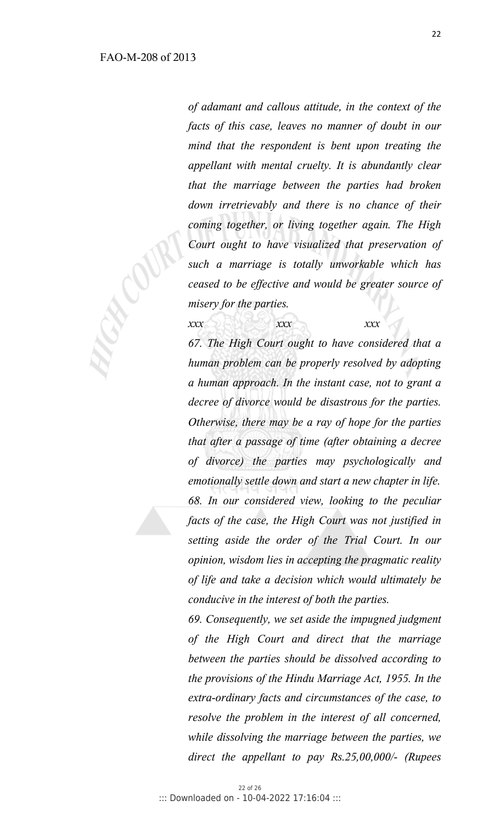*of adamant and callous attitude, in the context of the facts of this case, leaves no manner of doubt in our mind that the respondent is bent upon treating the appellant with mental cruelty. It is abundantly clear that the marriage between the parties had broken down irretrievably and there is no chance of their coming together, or living together again. The High Court ought to have visualized that preservation of such a marriage is totally unworkable which has ceased to be effective and would be greater source of misery for the parties.* 

 *xxx xxx xxx 67. The High Court ought to have considered that a human problem can be properly resolved by adopting a human approach. In the instant case, not to grant a decree of divorce would be disastrous for the parties. Otherwise, there may be a ray of hope for the parties that after a passage of time (after obtaining a decree of divorce) the parties may psychologically and emotionally settle down and start a new chapter in life. 68. In our considered view, looking to the peculiar facts of the case, the High Court was not justified in setting aside the order of the Trial Court. In our opinion, wisdom lies in accepting the pragmatic reality of life and take a decision which would ultimately be conducive in the interest of both the parties.* 

> *69. Consequently, we set aside the impugned judgment of the High Court and direct that the marriage between the parties should be dissolved according to the provisions of the Hindu Marriage Act, 1955. In the extra-ordinary facts and circumstances of the case, to resolve the problem in the interest of all concerned, while dissolving the marriage between the parties, we direct the appellant to pay Rs.25,00,000/- (Rupees*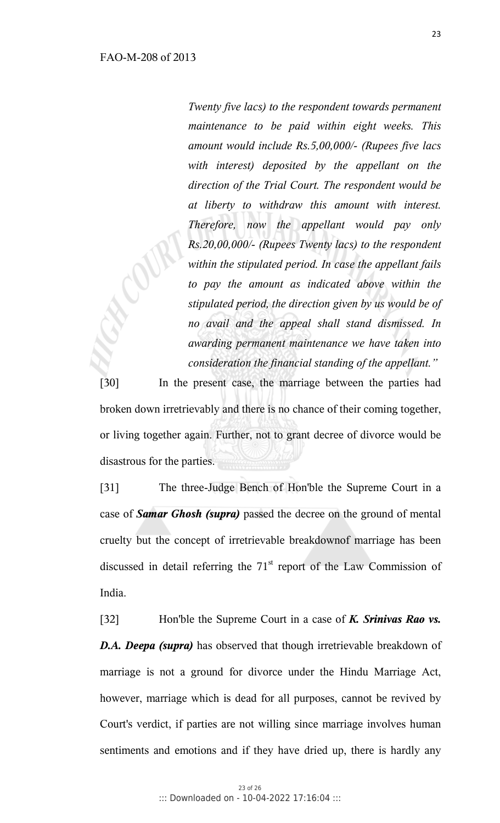*Twenty five lacs) to the respondent towards permanent maintenance to be paid within eight weeks. This amount would include Rs.5,00,000/- (Rupees five lacs with interest) deposited by the appellant on the direction of the Trial Court. The respondent would be at liberty to withdraw this amount with interest. Therefore, now the appellant would pay only Rs.20,00,000/- (Rupees Twenty lacs) to the respondent within the stipulated period. In case the appellant fails to pay the amount as indicated above within the stipulated period, the direction given by us would be of no avail and the appeal shall stand dismissed. In awarding permanent maintenance we have taken into consideration the financial standing of the appellant."*

[30] In the present case, the marriage between the parties had broken down irretrievably and there is no chance of their coming together, or living together again. Further, not to grant decree of divorce would be disastrous for the parties.

[31] The three-Judge Bench of Hon'ble the Supreme Court in a case of *Samar Ghosh (supra)* passed the decree on the ground of mental cruelty but the concept of irretrievable breakdownof marriage has been discussed in detail referring the  $71<sup>st</sup>$  report of the Law Commission of India.

[32] Hon'ble the Supreme Court in a case of *K. Srinivas Rao vs. D.A. Deepa (supra)* has observed that though irretrievable breakdown of marriage is not a ground for divorce under the Hindu Marriage Act, however, marriage which is dead for all purposes, cannot be revived by Court's verdict, if parties are not willing since marriage involves human sentiments and emotions and if they have dried up, there is hardly any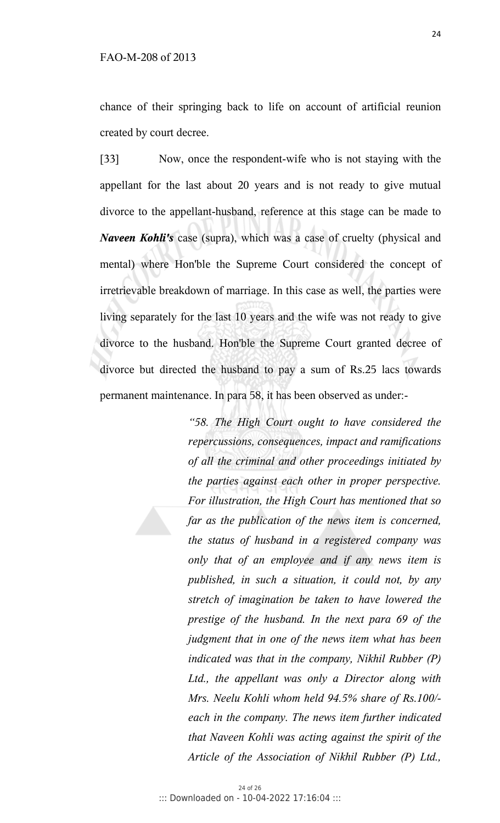chance of their springing back to life on account of artificial reunion created by court decree.

[33] Now, once the respondent-wife who is not staying with the appellant for the last about 20 years and is not ready to give mutual divorce to the appellant-husband, reference at this stage can be made to *Naveen Kohli's* case (supra), which was a case of cruelty (physical and mental) where Hon'ble the Supreme Court considered the concept of irretrievable breakdown of marriage. In this case as well, the parties were living separately for the last 10 years and the wife was not ready to give divorce to the husband. Hon'ble the Supreme Court granted decree of divorce but directed the husband to pay a sum of Rs.25 lacs towards permanent maintenance. In para 58, it has been observed as under:-

> *"58. The High Court ought to have considered the repercussions, consequences, impact and ramifications of all the criminal and other proceedings initiated by the parties against each other in proper perspective. For illustration, the High Court has mentioned that so far as the publication of the news item is concerned, the status of husband in a registered company was only that of an employee and if any news item is published, in such a situation, it could not, by any stretch of imagination be taken to have lowered the prestige of the husband. In the next para 69 of the judgment that in one of the news item what has been indicated was that in the company, Nikhil Rubber (P) Ltd., the appellant was only a Director along with Mrs. Neelu Kohli whom held 94.5% share of Rs.100/ each in the company. The news item further indicated that Naveen Kohli was acting against the spirit of the Article of the Association of Nikhil Rubber (P) Ltd.,*

24 of 26 ::: Downloaded on - 10-04-2022 17:16:04 :::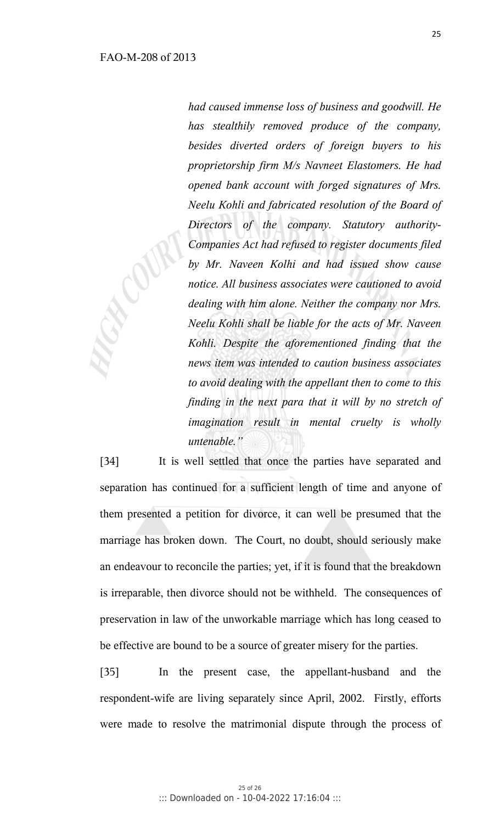*had caused immense loss of business and goodwill. He has stealthily removed produce of the company, besides diverted orders of foreign buyers to his proprietorship firm M/s Navneet Elastomers. He had opened bank account with forged signatures of Mrs. Neelu Kohli and fabricated resolution of the Board of Directors of the company. Statutory authority-Companies Act had refused to register documents filed by Mr. Naveen Kolhi and had issued show cause notice. All business associates were cautioned to avoid dealing with him alone. Neither the company nor Mrs. Neelu Kohli shall be liable for the acts of Mr. Naveen Kohli. Despite the aforementioned finding that the news item was intended to caution business associates to avoid dealing with the appellant then to come to this finding in the next para that it will by no stretch of imagination result in mental cruelty is wholly untenable."* 

[34] It is well settled that once the parties have separated and separation has continued for a sufficient length of time and anyone of them presented a petition for divorce, it can well be presumed that the marriage has broken down. The Court, no doubt, should seriously make an endeavour to reconcile the parties; yet, if it is found that the breakdown is irreparable, then divorce should not be withheld. The consequences of preservation in law of the unworkable marriage which has long ceased to be effective are bound to be a source of greater misery for the parties.

[35] In the present case, the appellant-husband and the respondent-wife are living separately since April, 2002. Firstly, efforts were made to resolve the matrimonial dispute through the process of